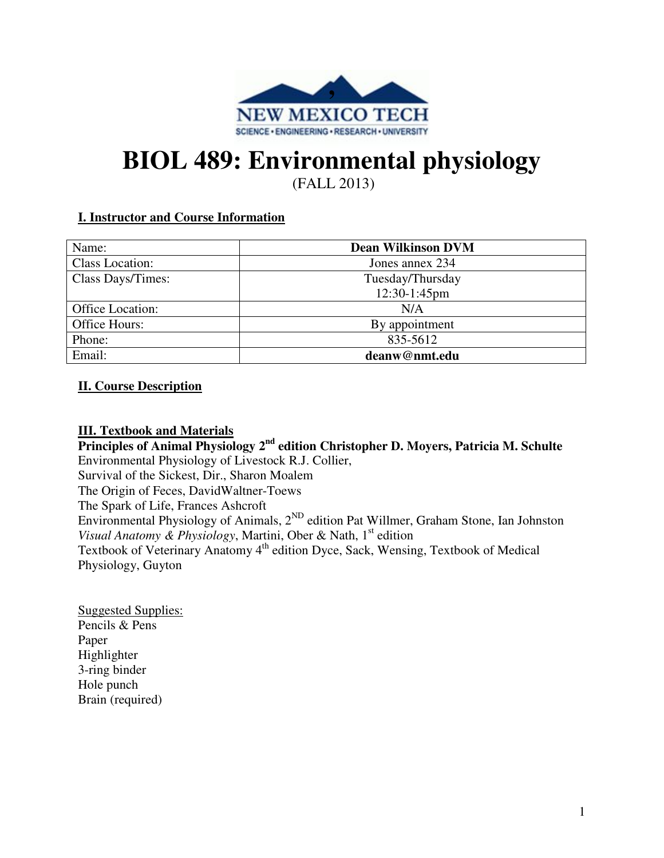

# **BIOL 489: Environmental physiology**

(FALL 2013)

# **I. Instructor and Course Information**

| Name:             | <b>Dean Wilkinson DVM</b> |
|-------------------|---------------------------|
| Class Location:   | Jones annex 234           |
| Class Days/Times: | Tuesday/Thursday          |
|                   | 12:30-1:45pm              |
| Office Location:  | N/A                       |
| Office Hours:     | By appointment            |
| Phone:            | 835-5612                  |
| Email:            | deanw@nmt.edu             |

# **II. Course Description**

## **III. Textbook and Materials**

**Principles of Animal Physiology 2nd edition Christopher D. Moyers, Patricia M. Schulte** Environmental Physiology of Livestock R.J. Collier, Survival of the Sickest, Dir., Sharon Moalem The Origin of Feces, DavidWaltner-Toews The Spark of Life, Frances Ashcroft Environmental Physiology of Animals, 2ND edition Pat Willmer, Graham Stone, Ian Johnston *Visual Anatomy & Physiology*, Martini, Ober & Nath, 1st edition Textbook of Veterinary Anatomy 4<sup>th</sup> edition Dyce, Sack, Wensing, Textbook of Medical Physiology, Guyton

Suggested Supplies: Pencils & Pens Paper Highlighter 3-ring binder Hole punch Brain (required)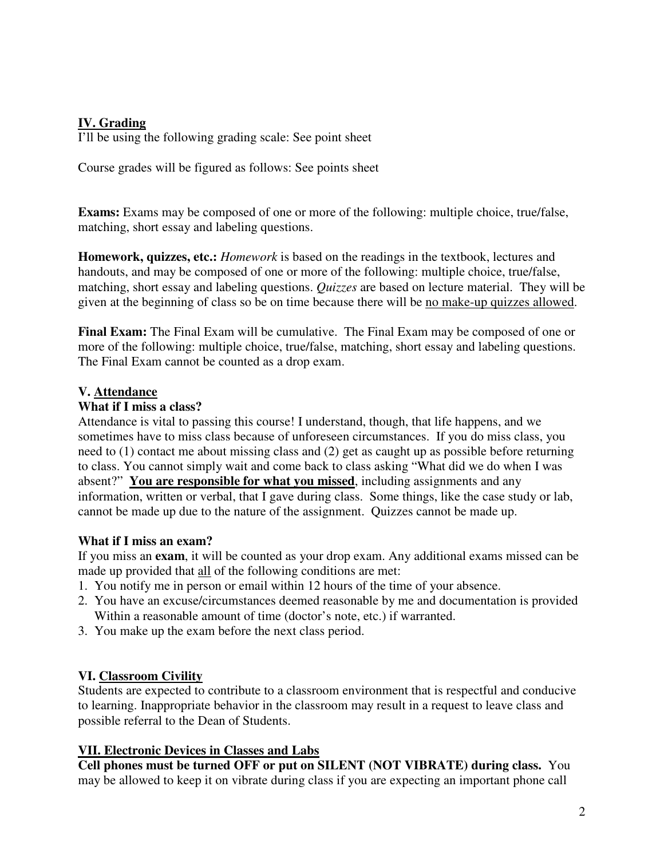# **IV. Grading**

I'll be using the following grading scale: See point sheet

Course grades will be figured as follows: See points sheet

**Exams:** Exams may be composed of one or more of the following: multiple choice, true/false, matching, short essay and labeling questions.

**Homework, quizzes, etc.:** *Homework* is based on the readings in the textbook, lectures and handouts, and may be composed of one or more of the following: multiple choice, true/false, matching, short essay and labeling questions. *Quizzes* are based on lecture material. They will be given at the beginning of class so be on time because there will be no make-up quizzes allowed.

**Final Exam:** The Final Exam will be cumulative. The Final Exam may be composed of one or more of the following: multiple choice, true/false, matching, short essay and labeling questions. The Final Exam cannot be counted as a drop exam.

# **V. Attendance**

#### **What if I miss a class?**

Attendance is vital to passing this course! I understand, though, that life happens, and we sometimes have to miss class because of unforeseen circumstances. If you do miss class, you need to (1) contact me about missing class and (2) get as caught up as possible before returning to class. You cannot simply wait and come back to class asking "What did we do when I was absent?" **You are responsible for what you missed**, including assignments and any information, written or verbal, that I gave during class. Some things, like the case study or lab, cannot be made up due to the nature of the assignment. Quizzes cannot be made up.

## **What if I miss an exam?**

If you miss an **exam**, it will be counted as your drop exam. Any additional exams missed can be made up provided that all of the following conditions are met:

- 1. You notify me in person or email within 12 hours of the time of your absence.
- 2. You have an excuse/circumstances deemed reasonable by me and documentation is provided Within a reasonable amount of time (doctor's note, etc.) if warranted.
- 3. You make up the exam before the next class period.

## **VI. Classroom Civility**

Students are expected to contribute to a classroom environment that is respectful and conducive to learning. Inappropriate behavior in the classroom may result in a request to leave class and possible referral to the Dean of Students.

## **VII. Electronic Devices in Classes and Labs**

**Cell phones must be turned OFF or put on SILENT (NOT VIBRATE) during class.** You may be allowed to keep it on vibrate during class if you are expecting an important phone call